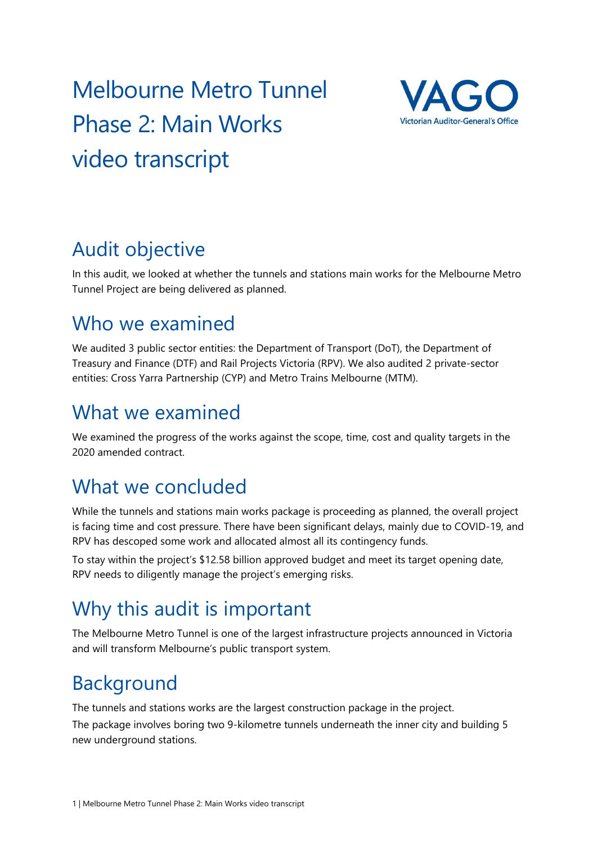# Melbourne Metro Tunnel Phase 2: Main Works video transcript



# Audit objective

In this audit, we looked at whether the tunnels and stations main works for the Melbourne Metro Tunnel Project are being delivered as planned.

#### Who we examined

We audited 3 public sector entities: the Department of Transport (DoT), the Department of Treasury and Finance (DTF) and Rail Projects Victoria (RPV). We also audited 2 private-sector entities: Cross Yarra Partnership (CYP) and Metro Trains Melbourne (MTM).

#### What we examined

We examined the progress of the works against the scope, time, cost and quality targets in the 2020 amended contract.

## What we concluded

While the tunnels and stations main works package is proceeding as planned, the overall project is facing time and cost pressure. There have been significant delays, mainly due to COVID-19, and RPV has descoped some work and allocated almost all its contingency funds.

To stay within the project's \$12.58 billion approved budget and meet its target opening date, RPV needs to diligently manage the project's emerging risks.

## Why this audit is important

The Melbourne Metro Tunnel is one of the largest infrastructure projects announced in Victoria and will transform Melbourne's public transport system.

# Background

The tunnels and stations works are the largest construction package in the project.

The package involves boring two 9-kilometre tunnels underneath the inner city and building 5 new underground stations.